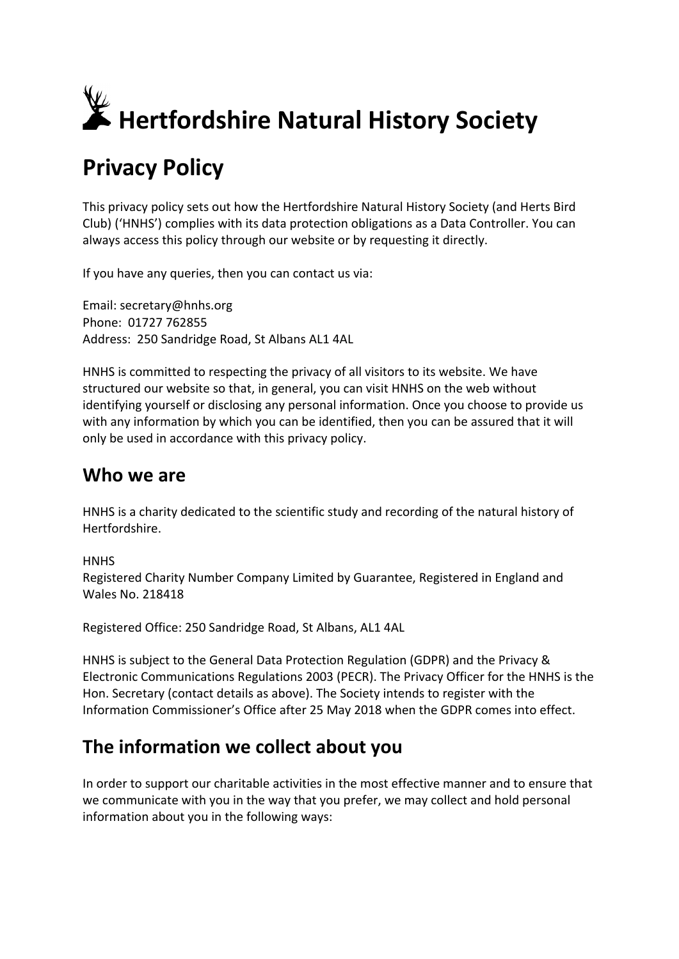

# **Privacy Policy**

This privacy policy sets out how the Hertfordshire Natural History Society (and Herts Bird Club) ('HNHS') complies with its data protection obligations as a Data Controller. You can always access this policy through our website or by requesting it directly.

If you have any queries, then you can contact us via:

Email: secretary@hnhs.org Phone: 01727 762855 Address: 250 Sandridge Road, St Albans AL1 4AL

HNHS is committed to respecting the privacy of all visitors to its website. We have structured our website so that, in general, you can visit HNHS on the web without identifying yourself or disclosing any personal information. Once you choose to provide us with any information by which you can be identified, then you can be assured that it will only be used in accordance with this privacy policy.

### **Who we are**

HNHS is a charity dedicated to the scientific study and recording of the natural history of Hertfordshire.

**HNHS** 

Registered Charity Number Company Limited by Guarantee, Registered in England and Wales No. 218418

Registered Office: 250 Sandridge Road, St Albans, AL1 4AL

HNHS is subject to the General Data Protection Regulation (GDPR) and the Privacy & Electronic Communications Regulations 2003 (PECR). The Privacy Officer for the HNHS is the Hon. Secretary (contact details as above). The Society intends to register with the Information Commissioner's Office after 25 May 2018 when the GDPR comes into effect.

## **The information we collect about you**

In order to support our charitable activities in the most effective manner and to ensure that we communicate with you in the way that you prefer, we may collect and hold personal information about you in the following ways: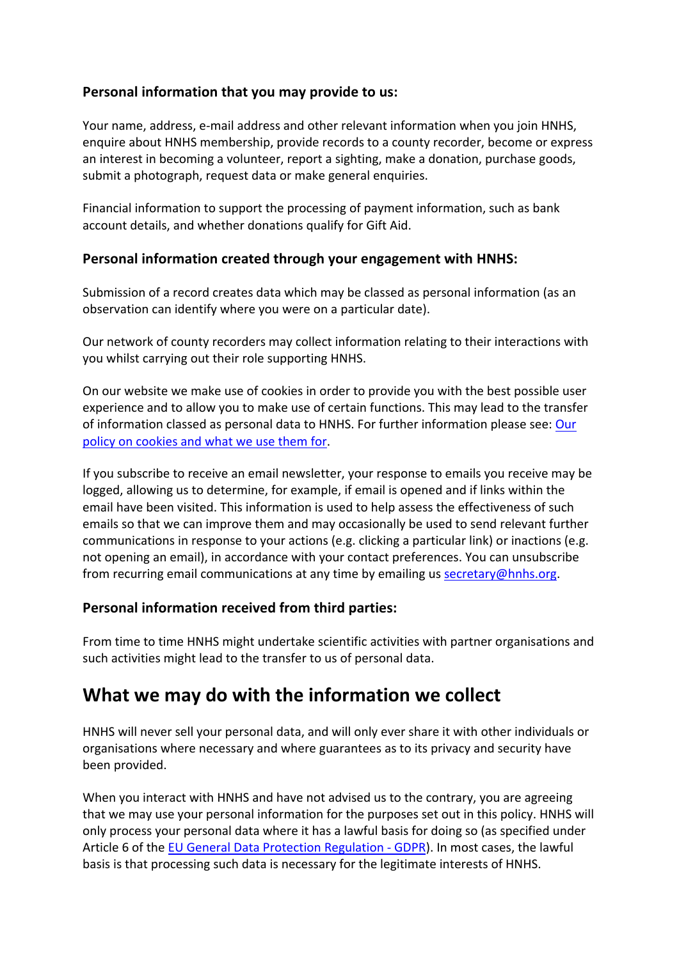#### **Personal information that you may provide to us:**

Your name, address, e-mail address and other relevant information when you join HNHS, enquire about HNHS membership, provide records to a county recorder, become or express an interest in becoming a volunteer, report a sighting, make a donation, purchase goods, submit a photograph, request data or make general enquiries.

Financial information to support the processing of payment information, such as bank account details, and whether donations qualify for Gift Aid.

#### **Personal information created through your engagement with HNHS:**

Submission of a record creates data which may be classed as personal information (as an observation can identify where you were on a particular date).

Our network of county recorders may collect information relating to their interactions with you whilst carrying out their role supporting HNHS.

On our website we make use of cookies in order to provide you with the best possible user experience and to allow you to make use of certain functions. This may lead to the transfer of information classed as personal data to HNHS. For further information please see: Our policy on cookies and what we use them for.

If you subscribe to receive an email newsletter, your response to emails you receive may be logged, allowing us to determine, for example, if email is opened and if links within the email have been visited. This information is used to help assess the effectiveness of such emails so that we can improve them and may occasionally be used to send relevant further communications in response to your actions (e.g. clicking a particular link) or inactions (e.g. not opening an email), in accordance with your contact preferences. You can unsubscribe from recurring email communications at any time by emailing us secretary@hnhs.org.

#### **Personal information received from third parties:**

From time to time HNHS might undertake scientific activities with partner organisations and such activities might lead to the transfer to us of personal data.

## **What we may do with the information we collect**

HNHS will never sell your personal data, and will only ever share it with other individuals or organisations where necessary and where guarantees as to its privacy and security have been provided.

When you interact with HNHS and have not advised us to the contrary, you are agreeing that we may use your personal information for the purposes set out in this policy. HNHS will only process your personal data where it has a lawful basis for doing so (as specified under Article 6 of the EU General Data Protection Regulation - GDPR). In most cases, the lawful basis is that processing such data is necessary for the legitimate interests of HNHS.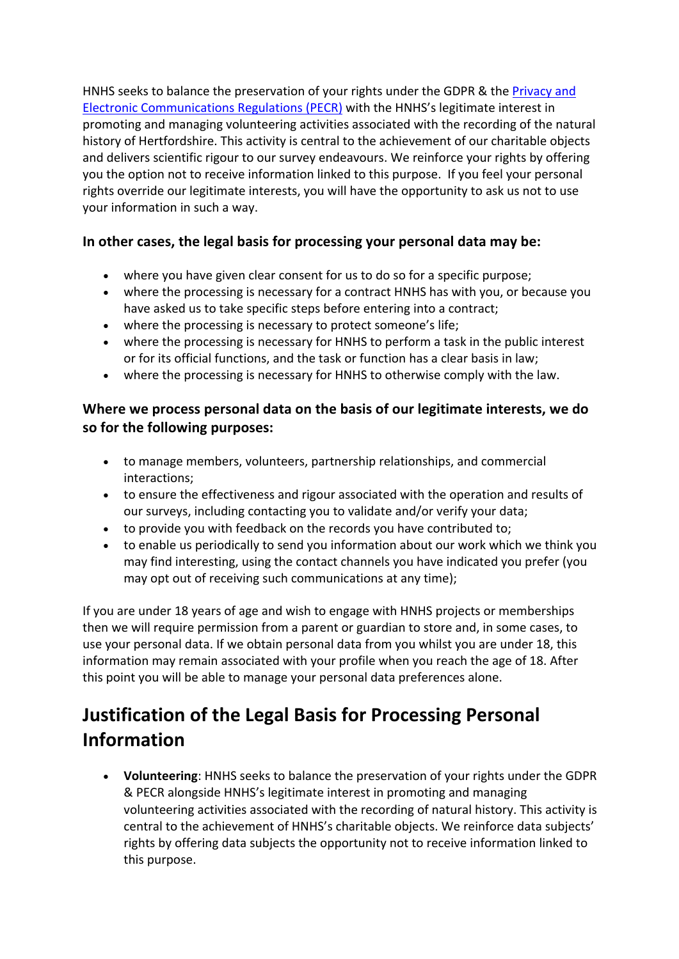HNHS seeks to balance the preservation of your rights under the GDPR & the Privacy and Electronic Communications Regulations (PECR) with the HNHS's legitimate interest in promoting and managing volunteering activities associated with the recording of the natural history of Hertfordshire. This activity is central to the achievement of our charitable objects and delivers scientific rigour to our survey endeavours. We reinforce your rights by offering you the option not to receive information linked to this purpose. If you feel your personal rights override our legitimate interests, you will have the opportunity to ask us not to use your information in such a way.

#### **In other cases, the legal basis for processing your personal data may be:**

- where you have given clear consent for us to do so for a specific purpose;
- where the processing is necessary for a contract HNHS has with you, or because you have asked us to take specific steps before entering into a contract;
- where the processing is necessary to protect someone's life;
- where the processing is necessary for HNHS to perform a task in the public interest or for its official functions, and the task or function has a clear basis in law;
- where the processing is necessary for HNHS to otherwise comply with the law.

#### **Where we process personal data on the basis of our legitimate interests, we do so for the following purposes:**

- to manage members, volunteers, partnership relationships, and commercial interactions;
- to ensure the effectiveness and rigour associated with the operation and results of our surveys, including contacting you to validate and/or verify your data;
- to provide you with feedback on the records you have contributed to;
- to enable us periodically to send you information about our work which we think you may find interesting, using the contact channels you have indicated you prefer (you may opt out of receiving such communications at any time);

If you are under 18 years of age and wish to engage with HNHS projects or memberships then we will require permission from a parent or guardian to store and, in some cases, to use your personal data. If we obtain personal data from you whilst you are under 18, this information may remain associated with your profile when you reach the age of 18. After this point you will be able to manage your personal data preferences alone.

## **Justification of the Legal Basis for Processing Personal Information**

• **Volunteering**: HNHS seeks to balance the preservation of your rights under the GDPR & PECR alongside HNHS's legitimate interest in promoting and managing volunteering activities associated with the recording of natural history. This activity is central to the achievement of HNHS's charitable objects. We reinforce data subjects' rights by offering data subjects the opportunity not to receive information linked to this purpose.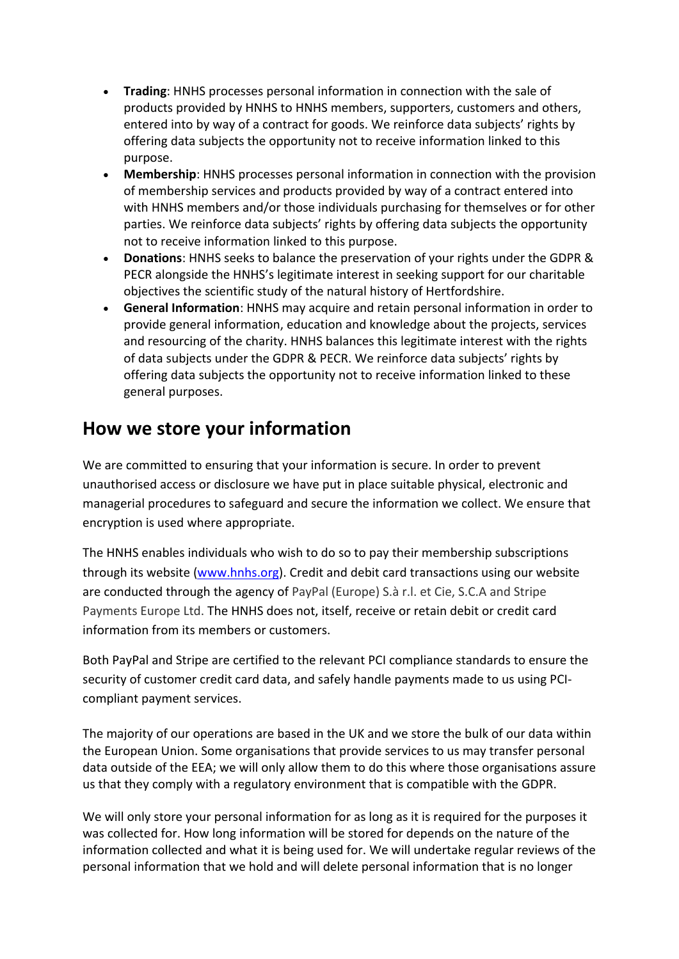- **Trading**: HNHS processes personal information in connection with the sale of products provided by HNHS to HNHS members, supporters, customers and others, entered into by way of a contract for goods. We reinforce data subjects' rights by offering data subjects the opportunity not to receive information linked to this purpose.
- **Membership**: HNHS processes personal information in connection with the provision of membership services and products provided by way of a contract entered into with HNHS members and/or those individuals purchasing for themselves or for other parties. We reinforce data subjects' rights by offering data subjects the opportunity not to receive information linked to this purpose.
- **Donations**: HNHS seeks to balance the preservation of your rights under the GDPR & PECR alongside the HNHS's legitimate interest in seeking support for our charitable objectives the scientific study of the natural history of Hertfordshire.
- **General Information**: HNHS may acquire and retain personal information in order to provide general information, education and knowledge about the projects, services and resourcing of the charity. HNHS balances this legitimate interest with the rights of data subjects under the GDPR & PECR. We reinforce data subjects' rights by offering data subjects the opportunity not to receive information linked to these general purposes.

## **How we store your information**

We are committed to ensuring that your information is secure. In order to prevent unauthorised access or disclosure we have put in place suitable physical, electronic and managerial procedures to safeguard and secure the information we collect. We ensure that encryption is used where appropriate.

The HNHS enables individuals who wish to do so to pay their membership subscriptions through its website (www.hnhs.org). Credit and debit card transactions using our website are conducted through the agency of PayPal (Europe) S.à r.l. et Cie, S.C.A and Stripe Payments Europe Ltd. The HNHS does not, itself, receive or retain debit or credit card information from its members or customers.

Both PayPal and Stripe are certified to the relevant PCI compliance standards to ensure the security of customer credit card data, and safely handle payments made to us using PCIcompliant payment services.

The majority of our operations are based in the UK and we store the bulk of our data within the European Union. Some organisations that provide services to us may transfer personal data outside of the EEA; we will only allow them to do this where those organisations assure us that they comply with a regulatory environment that is compatible with the GDPR.

We will only store your personal information for as long as it is required for the purposes it was collected for. How long information will be stored for depends on the nature of the information collected and what it is being used for. We will undertake regular reviews of the personal information that we hold and will delete personal information that is no longer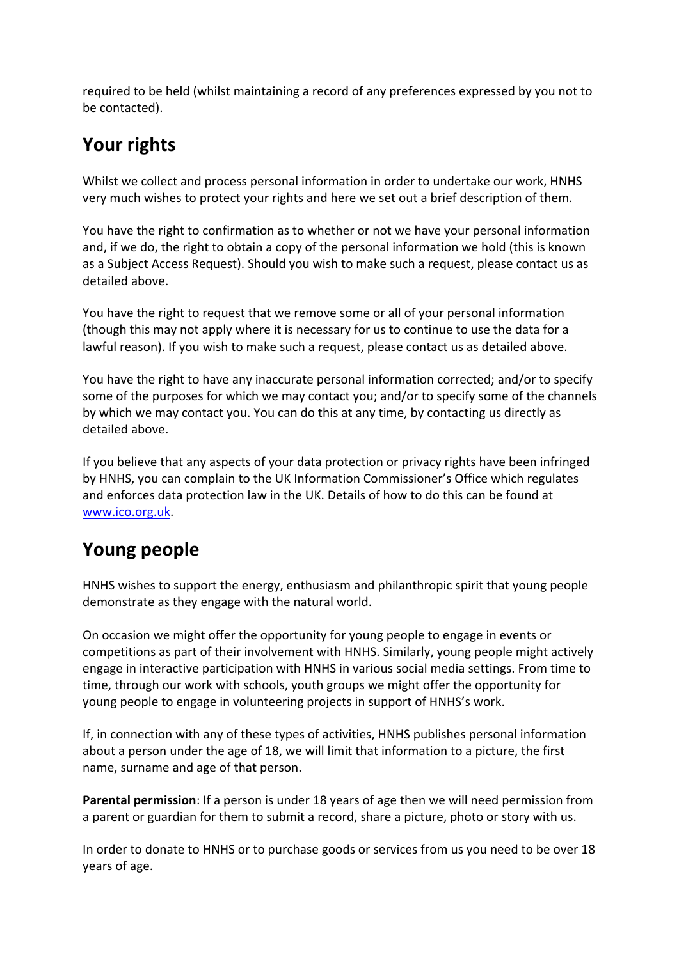required to be held (whilst maintaining a record of any preferences expressed by you not to be contacted).

## **Your rights**

Whilst we collect and process personal information in order to undertake our work, HNHS very much wishes to protect your rights and here we set out a brief description of them.

You have the right to confirmation as to whether or not we have your personal information and, if we do, the right to obtain a copy of the personal information we hold (this is known as a Subject Access Request). Should you wish to make such a request, please contact us as detailed above.

You have the right to request that we remove some or all of your personal information (though this may not apply where it is necessary for us to continue to use the data for a lawful reason). If you wish to make such a request, please contact us as detailed above.

You have the right to have any inaccurate personal information corrected; and/or to specify some of the purposes for which we may contact you; and/or to specify some of the channels by which we may contact you. You can do this at any time, by contacting us directly as detailed above.

If you believe that any aspects of your data protection or privacy rights have been infringed by HNHS, you can complain to the UK Information Commissioner's Office which regulates and enforces data protection law in the UK. Details of how to do this can be found at www.ico.org.uk.

## **Young people**

HNHS wishes to support the energy, enthusiasm and philanthropic spirit that young people demonstrate as they engage with the natural world.

On occasion we might offer the opportunity for young people to engage in events or competitions as part of their involvement with HNHS. Similarly, young people might actively engage in interactive participation with HNHS in various social media settings. From time to time, through our work with schools, youth groups we might offer the opportunity for young people to engage in volunteering projects in support of HNHS's work.

If, in connection with any of these types of activities, HNHS publishes personal information about a person under the age of 18, we will limit that information to a picture, the first name, surname and age of that person.

**Parental permission**: If a person is under 18 years of age then we will need permission from a parent or guardian for them to submit a record, share a picture, photo or story with us.

In order to donate to HNHS or to purchase goods or services from us you need to be over 18 years of age.